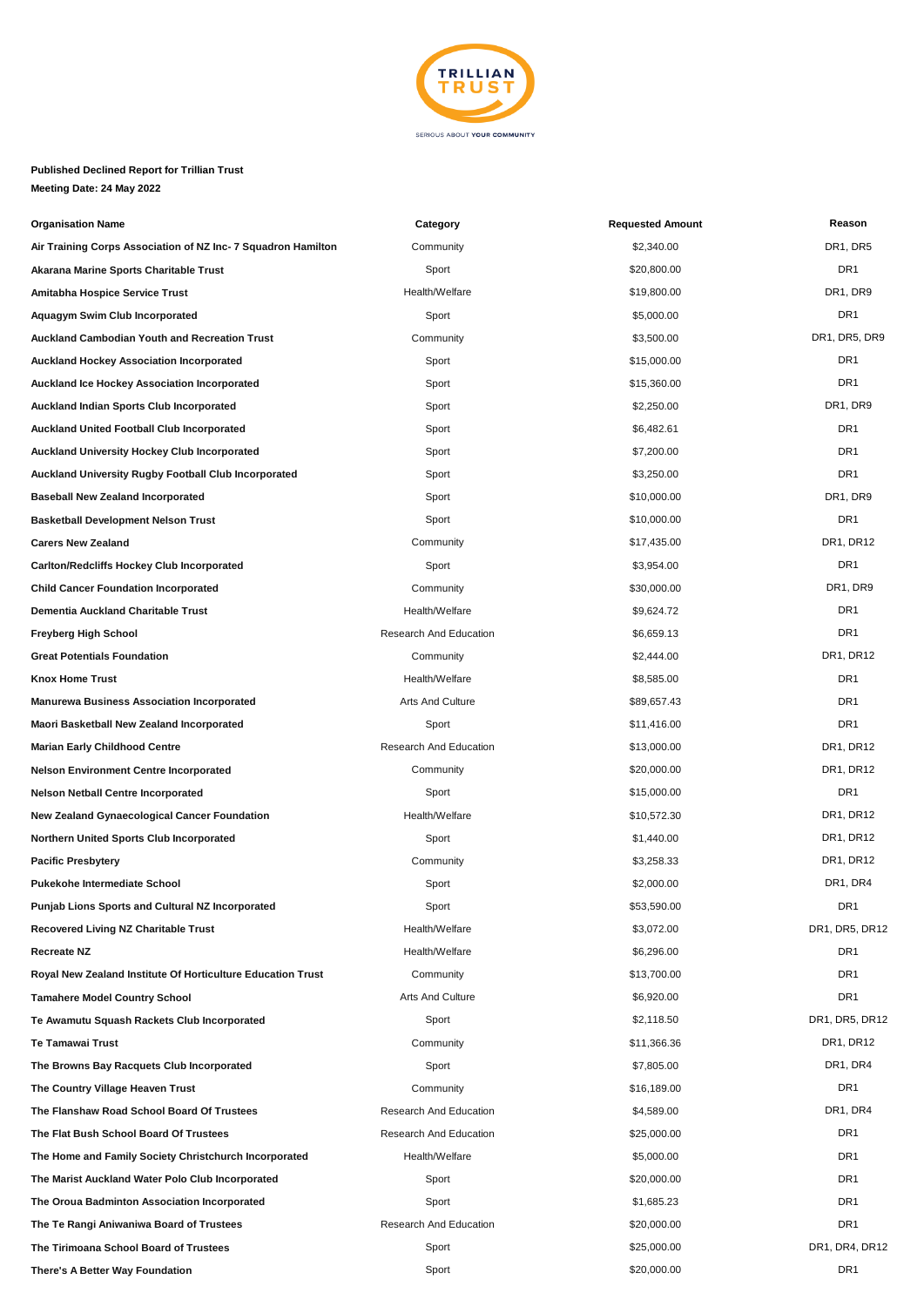

## **Published Declined Report for Trillian Trust Meeting Date: 24 May 2022**

| <b>Organisation Name</b>                                      | Category                      | <b>Requested Amount</b> | Reason          |
|---------------------------------------------------------------|-------------------------------|-------------------------|-----------------|
| Air Training Corps Association of NZ Inc- 7 Squadron Hamilton | Community                     | \$2,340.00              | DR1, DR5        |
| Akarana Marine Sports Charitable Trust                        | Sport                         | \$20,800.00             | DR <sub>1</sub> |
| Amitabha Hospice Service Trust                                | Health/Welfare                | \$19,800.00             | DR1, DR9        |
| <b>Aquagym Swim Club Incorporated</b>                         | Sport                         | \$5,000.00              | DR <sub>1</sub> |
| <b>Auckland Cambodian Youth and Recreation Trust</b>          | Community                     | \$3,500.00              | DR1, DR5, DR9   |
| <b>Auckland Hockey Association Incorporated</b>               | Sport                         | \$15,000.00             | DR <sub>1</sub> |
| Auckland Ice Hockey Association Incorporated                  | Sport                         | \$15,360.00             | DR <sub>1</sub> |
| <b>Auckland Indian Sports Club Incorporated</b>               | Sport                         | \$2,250.00              | DR1, DR9        |
| <b>Auckland United Football Club Incorporated</b>             | Sport                         | \$6,482.61              | DR <sub>1</sub> |
| <b>Auckland University Hockey Club Incorporated</b>           | Sport                         | \$7,200.00              | DR <sub>1</sub> |
| Auckland University Rugby Football Club Incorporated          | Sport                         | \$3,250.00              | DR <sub>1</sub> |
| <b>Baseball New Zealand Incorporated</b>                      | Sport                         | \$10,000.00             | DR1, DR9        |
| <b>Basketball Development Nelson Trust</b>                    | Sport                         | \$10,000.00             | DR <sub>1</sub> |
| <b>Carers New Zealand</b>                                     | Community                     | \$17,435.00             | DR1, DR12       |
| <b>Carlton/Redcliffs Hockey Club Incorporated</b>             | Sport                         | \$3,954.00              | DR <sub>1</sub> |
| <b>Child Cancer Foundation Incorporated</b>                   | Community                     | \$30,000.00             | DR1, DR9        |
| Dementia Auckland Charitable Trust                            | Health/Welfare                | \$9,624.72              | DR <sub>1</sub> |
| Freyberg High School                                          | <b>Research And Education</b> | \$6,659.13              | DR <sub>1</sub> |
| <b>Great Potentials Foundation</b>                            | Community                     | \$2,444.00              | DR1, DR12       |
| <b>Knox Home Trust</b>                                        | Health/Welfare                | \$8,585.00              | DR <sub>1</sub> |
| <b>Manurewa Business Association Incorporated</b>             | Arts And Culture              | \$89,657.43             | DR <sub>1</sub> |
| Maori Basketball New Zealand Incorporated                     | Sport                         | \$11,416.00             | DR <sub>1</sub> |
| <b>Marian Early Childhood Centre</b>                          | Research And Education        | \$13,000.00             | DR1, DR12       |
| <b>Nelson Environment Centre Incorporated</b>                 | Community                     | \$20,000.00             | DR1, DR12       |
| <b>Nelson Netball Centre Incorporated</b>                     | Sport                         | \$15,000.00             | DR <sub>1</sub> |
| New Zealand Gynaecological Cancer Foundation                  | Health/Welfare                | \$10,572.30             | DR1, DR12       |
| Northern United Sports Club Incorporated                      | Sport                         | \$1,440.00              | DR1, DR12       |
| <b>Pacific Presbytery</b>                                     | Community                     | \$3,258.33              | DR1, DR12       |
| <b>Pukekohe Intermediate School</b>                           | Sport                         | \$2,000.00              | DR1, DR4        |
| Punjab Lions Sports and Cultural NZ Incorporated              | Sport                         | \$53,590.00             | DR <sub>1</sub> |
| <b>Recovered Living NZ Charitable Trust</b>                   | Health/Welfare                | \$3,072.00              | DR1, DR5, DR12  |
| <b>Recreate NZ</b>                                            | Health/Welfare                | \$6,296.00              | DR <sub>1</sub> |
| Royal New Zealand Institute Of Horticulture Education Trust   | Community                     | \$13,700.00             | DR <sub>1</sub> |
| <b>Tamahere Model Country School</b>                          | <b>Arts And Culture</b>       | \$6,920.00              | DR <sub>1</sub> |
| Te Awamutu Squash Rackets Club Incorporated                   | Sport                         | \$2,118.50              | DR1, DR5, DR12  |
| <b>Te Tamawai Trust</b>                                       | Community                     | \$11,366.36             | DR1, DR12       |
| The Browns Bay Racquets Club Incorporated                     | Sport                         | \$7,805.00              | DR1, DR4        |
| The Country Village Heaven Trust                              | Community                     | \$16,189.00             | DR <sub>1</sub> |
| The Flanshaw Road School Board Of Trustees                    | Research And Education        | \$4,589.00              | DR1, DR4        |
| The Flat Bush School Board Of Trustees                        | Research And Education        | \$25,000.00             | DR <sub>1</sub> |
| The Home and Family Society Christchurch Incorporated         | Health/Welfare                | \$5,000.00              | DR <sub>1</sub> |
| The Marist Auckland Water Polo Club Incorporated              | Sport                         | \$20,000.00             | DR <sub>1</sub> |
| The Oroua Badminton Association Incorporated                  | Sport                         | \$1,685.23              | DR <sub>1</sub> |
| The Te Rangi Aniwaniwa Board of Trustees                      | Research And Education        | \$20,000.00             | DR <sub>1</sub> |
| The Tirimoana School Board of Trustees                        | Sport                         | \$25,000.00             | DR1, DR4, DR12  |
| There's A Better Way Foundation                               | Sport                         | \$20,000.00             | DR <sub>1</sub> |